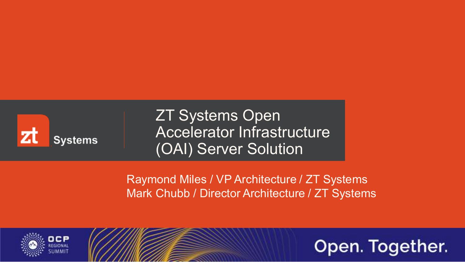

ZT Systems Open Accelerator Infrastructure (OAI) Server Solution

Raymond Miles / VP Architecture / ZT Systems Mark Chubb / Director Architecture / ZT Systems



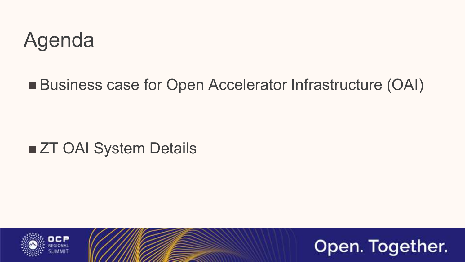#### Agenda

#### ■ Business case for Open Accelerator Infrastructure (OAI)

#### ■ ZT OAI System Details



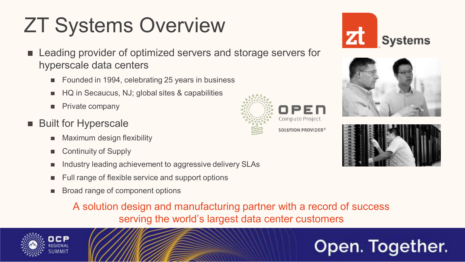# ZT Systems Overview

- Leading provider of optimized servers and storage servers for hyperscale data centers
	- Founded in 1994, celebrating 25 years in business
	- HQ in Secaucus, NJ; global sites & capabilities
	- Private company ٠
- Built for Hyperscale
	- Maximum design flexibility п
	- Continuity of Supply п.
	- Industry leading achievement to aggressive delivery SLAs
	- Full range of flexible service and support options
	- Broad range of component options٠

A solution design and manufacturing partner with a record of success serving the world's largest data center customers





SOLUTION PROVIDER<sup>6</sup>





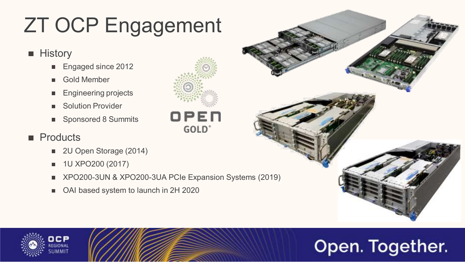# ZT OCP Engagement

#### **History**

- Engaged since 2012
- Gold Member  $\blacksquare$
- Engineering projects
- Solution Provider  $\blacksquare$
- Sponsored 8 Summits  $\blacksquare$

#### **Products**

- 2U Open Storage (2014)  $\blacksquare$
- 1U XPO200 (2017) п
- XPO200-3UN & XPO200-3UA PCIe Expansion Systems (2019) ш
- OAI based system to launch in 2H 2020 $\blacksquare$





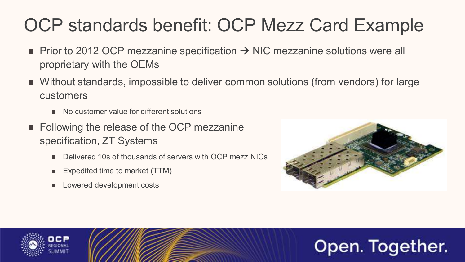#### OCP standards benefit: OCP Mezz Card Example

- Prior to 2012 OCP mezzanine specification  $\rightarrow$  NIC mezzanine solutions were all proprietary with the OEMs
- Without standards, impossible to deliver common solutions (from vendors) for large customers
	- No customer value for different solutions
- **Following the release of the OCP mezzanine** specification, ZT Systems
	- Delivered 10s of thousands of servers with OCP mezz NICs  $\blacksquare$
	- Expedited time to market (TTM)
	- Lowered development costs



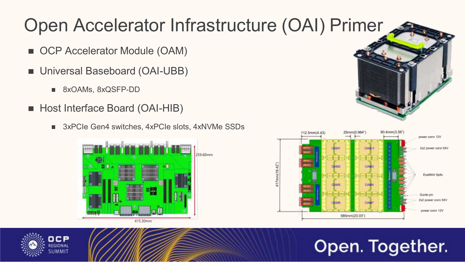#### Open Accelerator Infrastructure (OAI) Primer

- OCP Accelerator Module (OAM)
- Universal Baseboard (OAI-UBB)
	- 8xOAMs, 8xQSFP-DD  $\mathcal{L}_{\mathcal{A}}$
- Host Interface Board (OAI-HIB)
	- 3xPCIe Gen4 switches, 4xPCIe slots, 4xNVMe SSDs $\blacksquare$







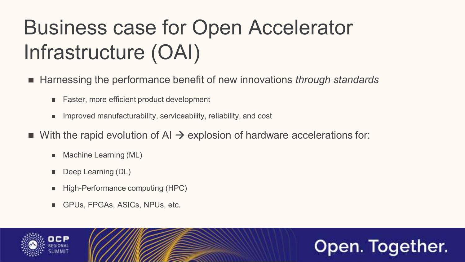# Business case for Open Accelerator Infrastructure (OAI)

- Harnessing the performance benefit of new innovations *through standards* 
	- Faster, more efficient product development  $\blacksquare$
	- Improved manufacturability, serviceability, reliability, and cost  $\blacksquare$
- With the rapid evolution of AI  $\rightarrow$  explosion of hardware accelerations for:
	- Machine Learning (ML)  $\blacksquare$
	- Deep Learning (DL) ш
	- High-Performance computing (HPC)
	- GPUs, FPGAs, ASICs, NPUs, etc.ш



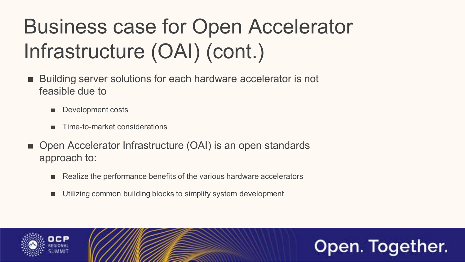# Business case for Open Accelerator Infrastructure (OAI) (cont.)

- Building server solutions for each hardware accelerator is not feasible due to
	- Development costs п
	- Time-to-market considerations  $\blacksquare$
- Open Accelerator Infrastructure (OAI) is an open standards approach to:
	- Realize the performance benefits of the various hardware accelerators п
	- Utilizing common building blocks to simplify system developmentш



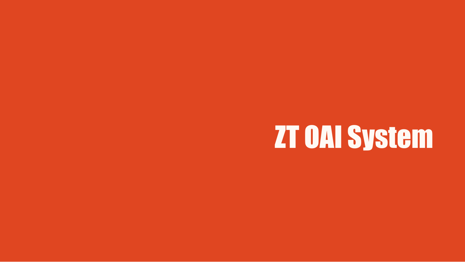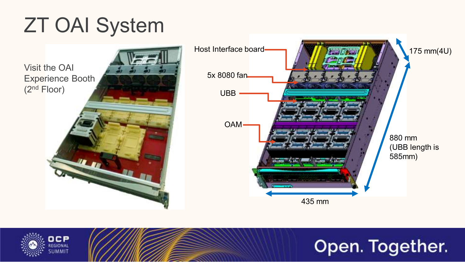## ZT OAI System

Visit the OAI Experience Booth (2nd Floor)





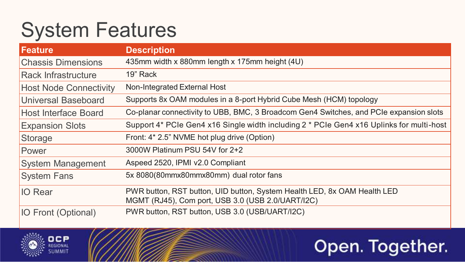# System Features

| <b>Feature</b>                | <b>Description</b>                                                                                                            |
|-------------------------------|-------------------------------------------------------------------------------------------------------------------------------|
| <b>Chassis Dimensions</b>     | 435mm width x 880mm length x 175mm height (4U)                                                                                |
| <b>Rack Infrastructure</b>    | 19" Rack                                                                                                                      |
| <b>Host Node Connectivity</b> | Non-Integrated External Host                                                                                                  |
| Universal Baseboard           | Supports 8x OAM modules in a 8-port Hybrid Cube Mesh (HCM) topology                                                           |
| Host Interface Board          | Co-planar connectivity to UBB, BMC, 3 Broadcom Gen4 Switches, and PCIe expansion slots                                        |
| <b>Expansion Slots</b>        | Support 4* PCIe Gen4 x16 Single width including 2 * PCIe Gen4 x16 Uplinks for multi-host                                      |
| Storage                       | Front: 4* 2.5" NVME hot plug drive (Option)                                                                                   |
| Power                         | 3000W Platinum PSU 54V for 2+2                                                                                                |
| <b>System Management</b>      | Aspeed 2520, IPMI v2.0 Compliant                                                                                              |
| <b>System Fans</b>            | 5x 8080(80mmx80mmx80mm) dual rotor fans                                                                                       |
| <b>IO</b> Rear                | PWR button, RST button, UID button, System Health LED, 8x OAM Health LED<br>MGMT (RJ45), Com port, USB 3.0 (USB 2.0/UART/I2C) |
| <b>IO Front (Optional)</b>    | PWR button, RST button, USB 3.0 (USB/UART/I2C)                                                                                |

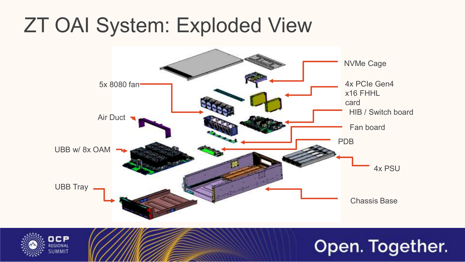## ZT OAI System: Exploded View



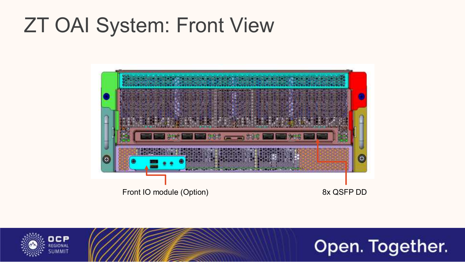## ZT OAI System: Front View





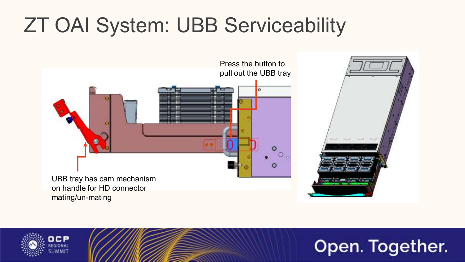# ZT OAI System: UBB Serviceability





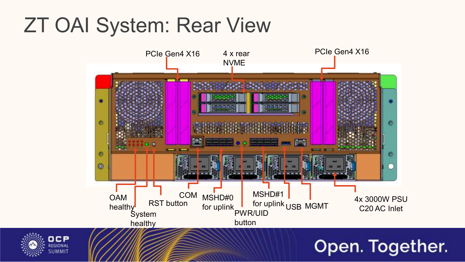## ZT OAI System: Rear View



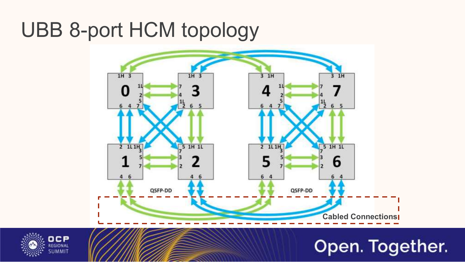## UBB 8-port HCM topology



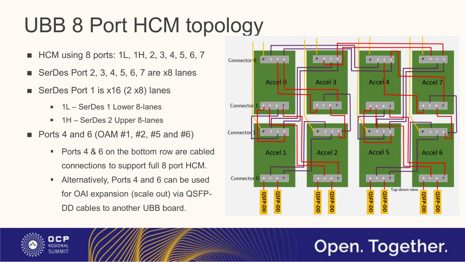# UBB 8 Port HCM topology

- HCM using 8 ports: 1L, 1H, 2, 3, 4, 5, 6, 7 п.
- SerDes Port 2, 3, 4, 5, 6, 7 are x8 lanes
- SerDes Port 1 is x16 (2 x8) lanes
	- 1L SerDes 1 Lower 8-lanes  $\mathbf{u}$  .
	- 1H SerDes 2 Upper 8-lanes
- **Ports 4 and 6 (OAM #1, #2, #5 and #6)** 
	- Ports 4 & 6 on the bottom row are cabled connections to support full 8 port HCM.
	- m. Alternatively, Ports 4 and 6 can be used for OAI expansion (scale out) via QSFP-DD cables to another UBB board.